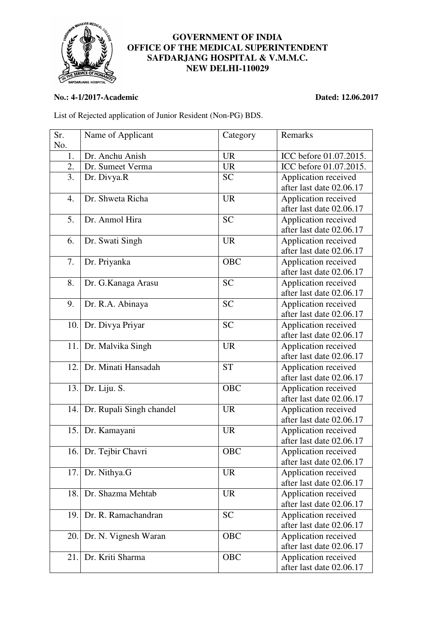

## **GOVERNMENT OF INDIA OFFICE OF THE MEDICAL SUPERINTENDENT SAFDARJANG HOSPITAL & V.M.M.C. NEW DELHI-110029**

## **No.: 4-1/2017-Academic Dated: 12.06.2017**

List of Rejected application of Junior Resident (Non-PG) BDS.

| Sr. | Name of Applicant        | Category  | Remarks                  |
|-----|--------------------------|-----------|--------------------------|
| No. |                          |           |                          |
| 1.  | Dr. Anchu Anish          | <b>UR</b> | ICC before 01.07.2015.   |
| 2.  | Dr. Sumeet Verma         | <b>UR</b> | ICC before 01.07.2015.   |
| 3.  | Dr. Divya.R              | <b>SC</b> | Application received     |
|     |                          |           | after last date 02.06.17 |
| 4.  | Dr. Shweta Richa         | <b>UR</b> | Application received     |
|     |                          |           | after last date 02.06.17 |
| 5.  | Dr. Anmol Hira           | <b>SC</b> | Application received     |
|     |                          |           | after last date 02.06.17 |
| 6.  | Dr. Swati Singh          | <b>UR</b> | Application received     |
|     |                          |           | after last date 02.06.17 |
| 7.  | Dr. Priyanka             | OBC       | Application received     |
|     |                          |           | after last date 02.06.17 |
| 8.  | Dr. G.Kanaga Arasu       | <b>SC</b> | Application received     |
|     |                          |           | after last date 02.06.17 |
| 9.  | Dr. R.A. Abinaya         | <b>SC</b> | Application received     |
|     |                          |           | after last date 02.06.17 |
| 10. | Dr. Divya Priyar         | <b>SC</b> | Application received     |
|     |                          |           | after last date 02.06.17 |
| 11. | Dr. Malvika Singh        | <b>UR</b> | Application received     |
|     |                          |           | after last date 02.06.17 |
| 12. | Dr. Minati Hansadah      | <b>ST</b> | Application received     |
|     |                          |           | after last date 02.06.17 |
| 13. | Dr. Liju. S.             | OBC       | Application received     |
|     |                          |           | after last date 02.06.17 |
| 14. | Dr. Rupali Singh chandel | <b>UR</b> | Application received     |
|     |                          |           | after last date 02.06.17 |
| 15. | Dr. Kamayani             | <b>UR</b> | Application received     |
|     |                          |           | after last date 02.06.17 |
| 16. | Dr. Tejbir Chavri        | OBC       | Application received     |
|     |                          |           | after last date 02.06.17 |
| 17. | Dr. Nithya.G             | <b>UR</b> | Application received     |
|     |                          |           | after last date 02.06.17 |
| 18. | Dr. Shazma Mehtab        | <b>UR</b> | Application received     |
|     |                          |           | after last date 02.06.17 |
| 19. | Dr. R. Ramachandran      | <b>SC</b> | Application received     |
|     |                          |           | after last date 02.06.17 |
| 20. | Dr. N. Vignesh Waran     | OBC       | Application received     |
|     |                          |           | after last date 02.06.17 |
| 21. | Dr. Kriti Sharma         | OBC       | Application received     |
|     |                          |           | after last date 02.06.17 |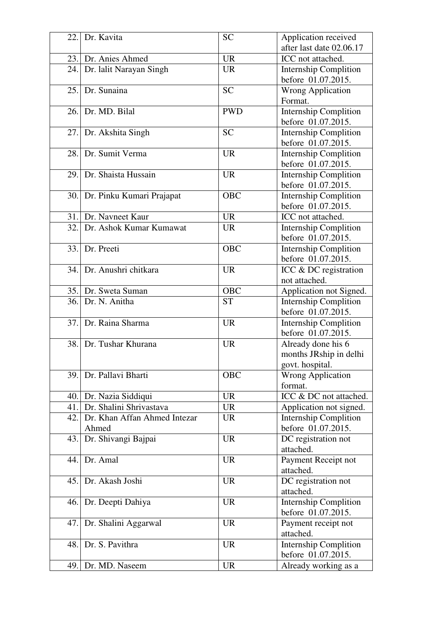| 22. | Dr. Kavita                            | <b>SC</b>  | Application received<br>after last date 02.06.17                |
|-----|---------------------------------------|------------|-----------------------------------------------------------------|
| 23. | Dr. Anies Ahmed                       | <b>UR</b>  | ICC not attached.                                               |
| 24. | Dr. lalit Narayan Singh               | <b>UR</b>  | <b>Internship Complition</b>                                    |
|     |                                       |            | before 01.07.2015.                                              |
| 25. | Dr. Sunaina                           | <b>SC</b>  | <b>Wrong Application</b><br>Format.                             |
| 26. | Dr. MD. Bilal                         | <b>PWD</b> | <b>Internship Complition</b><br>before 01.07.2015.              |
| 27. | Dr. Akshita Singh                     | <b>SC</b>  | <b>Internship Complition</b><br>before 01.07.2015.              |
| 28. | Dr. Sumit Verma                       | <b>UR</b>  | <b>Internship Complition</b><br>before 01.07.2015.              |
| 29. | Dr. Shaista Hussain                   | <b>UR</b>  | <b>Internship Complition</b><br>before 01.07.2015.              |
|     | 30. Dr. Pinku Kumari Prajapat         | <b>OBC</b> | <b>Internship Complition</b><br>before 01.07.2015.              |
|     | 31. Dr. Navneet Kaur                  | <b>UR</b>  | ICC not attached.                                               |
| 32. | Dr. Ashok Kumar Kumawat               | <b>UR</b>  | <b>Internship Complition</b><br>before 01.07.2015.              |
| 33. | Dr. Preeti                            | OBC        | <b>Internship Complition</b><br>before 01.07.2015.              |
| 34. | Dr. Anushri chitkara                  | <b>UR</b>  | ICC & DC registration<br>not attached.                          |
|     | 35. Dr. Sweta Suman                   | <b>OBC</b> | Application not Signed.                                         |
| 36. | Dr. N. Anitha                         | <b>ST</b>  | <b>Internship Complition</b><br>before 01.07.2015.              |
| 37. | Dr. Raina Sharma                      | <b>UR</b>  | <b>Internship Complition</b><br>before 01.07.2015.              |
| 38. | Dr. Tushar Khurana                    | <b>UR</b>  | Already done his 6<br>months JRship in delhi<br>govt. hospital. |
| 39. | Dr. Pallavi Bharti                    | OBC        | <b>Wrong Application</b><br>format.                             |
| 40. | Dr. Nazia Siddiqui                    | <b>UR</b>  | ICC & DC not attached.                                          |
| 41. | Dr. Shalini Shrivastava               | <b>UR</b>  | Application not signed.                                         |
| 42. | Dr. Khan Affan Ahmed Intezar<br>Ahmed | <b>UR</b>  | <b>Internship Complition</b><br>before 01.07.2015.              |
| 43. | Dr. Shivangi Bajpai                   | <b>UR</b>  | DC registration not<br>attached.                                |
| 44. | Dr. Amal                              | <b>UR</b>  | Payment Receipt not<br>attached.                                |
| 45. | Dr. Akash Joshi                       | <b>UR</b>  | DC registration not<br>attached.                                |
| 46. | Dr. Deepti Dahiya                     | <b>UR</b>  | <b>Internship Complition</b><br>before 01.07.2015.              |
| 47. | Dr. Shalini Aggarwal                  | <b>UR</b>  | Payment receipt not<br>attached.                                |
| 48. | Dr. S. Pavithra                       | <b>UR</b>  | <b>Internship Complition</b><br>before 01.07.2015.              |
| 49. | Dr. MD. Naseem                        | <b>UR</b>  | Already working as a                                            |